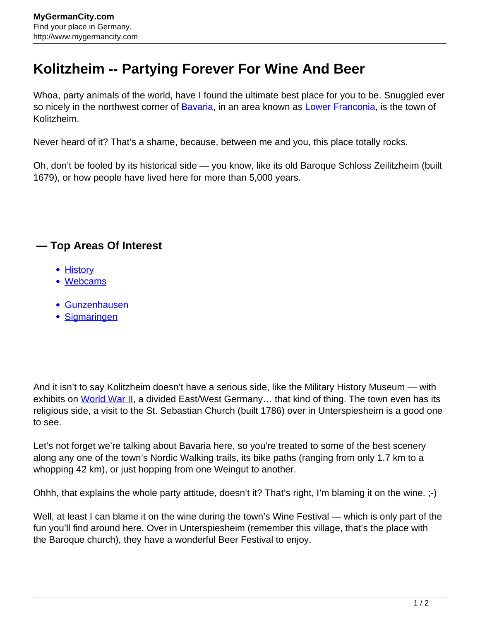## **Kolitzheim -- Partying Forever For Wine And Beer**

Whoa, party animals of the world, have I found the ultimate best place for you to be. Snuggled ever so nicely in the northwest corner of **Bavaria**, in an area known as [Lower Franconia,](http://www.mygermancity.com/lower-franconia) is the town of Kolitzheim.

Never heard of it? That's a shame, because, between me and you, this place totally rocks.

Oh, don't be fooled by its historical side — you know, like its old Baroque Schloss Zeilitzheim (built 1679), or how people have lived here for more than 5,000 years.

## **— Top Areas Of Interest**

- **[History](http://www.mygermancity.com/leipzig-history)**
- [Webcams](http://www.mygermancity.com/neustadt-holstein-webcams)
- [Gunzenhausen](http://www.mygermancity.com/gunzenhausen)
- [Sigmaringen](http://www.mygermancity.com/sigmaringen)

And it isn't to say Kolitzheim doesn't have a serious side, like the Military History Museum — with exhibits on [World War II,](http://www.mygermancity.com/world-war-ii) a divided East/West Germany... that kind of thing. The town even has its religious side, a visit to the St. Sebastian Church (built 1786) over in Unterspiesheim is a good one to see.

Let's not forget we're talking about Bavaria here, so you're treated to some of the best scenery along any one of the town's Nordic Walking trails, its bike paths (ranging from only 1.7 km to a whopping 42 km), or just hopping from one Weingut to another.

Ohhh, that explains the whole party attitude, doesn't it? That's right, I'm blaming it on the wine. ;-)

Well, at least I can blame it on the wine during the town's Wine Festival — which is only part of the fun you'll find around here. Over in Unterspiesheim (remember this village, that's the place with the Baroque church), they have a wonderful Beer Festival to enjoy.